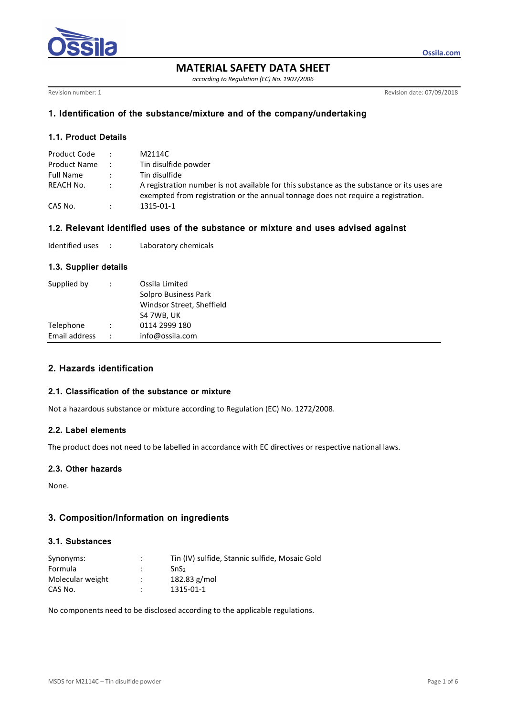

**MATERIAL SAFETY DATA SHEET** 

*according to Regulation (EC) No. 1907/2006* 

Revision number: 1 Revision date: 07/09/2018

**Ossila.com**

# **1. Identification of the substance/mixture and of the company/undertaking**

# **1.1. Product Details**

| Product Code |               | M2114C                                                                                                                                                                          |
|--------------|---------------|---------------------------------------------------------------------------------------------------------------------------------------------------------------------------------|
| Product Name |               | Tin disulfide powder                                                                                                                                                            |
| Full Name    |               | Tin disulfide                                                                                                                                                                   |
| REACH No.    | $\mathcal{L}$ | A registration number is not available for this substance as the substance or its uses are<br>exempted from registration or the annual tonnage does not require a registration. |
| CAS No.      |               | 1315-01-1                                                                                                                                                                       |

### **1.2. Relevant identified uses of the substance or mixture and uses advised against**

| Identified uses |  | Laboratory chemicals |
|-----------------|--|----------------------|
|-----------------|--|----------------------|

## **1.3. Supplier details**

| Supplied by   | $\ddot{\phantom{0}}$ | Ossila Limited<br>Solpro Business Park<br>Windsor Street, Sheffield<br>S4 7WB, UK |
|---------------|----------------------|-----------------------------------------------------------------------------------|
| Telephone     |                      | 0114 2999 180                                                                     |
| Email address | $\ddot{\phantom{0}}$ | info@ossila.com                                                                   |

# **2. Hazards identification**

#### **2.1. Classification of the substance or mixture**

Not a hazardous substance or mixture according to Regulation (EC) No. 1272/2008.

## **2.2. Label elements**

The product does not need to be labelled in accordance with EC directives or respective national laws.

# **2.3. Other hazards**

None.

# **3. Composition/Information on ingredients**

#### **3.1. Substances**

| Synonyms:        | ÷                    | Tin (IV) sulfide, Stannic sulfide, Mosaic Gold |
|------------------|----------------------|------------------------------------------------|
| Formula          |                      | SnS <sub>2</sub>                               |
| Molecular weight | $\ddot{\phantom{0}}$ | $182.83$ g/mol                                 |
| CAS No.          |                      | 1315-01-1                                      |

No components need to be disclosed according to the applicable regulations.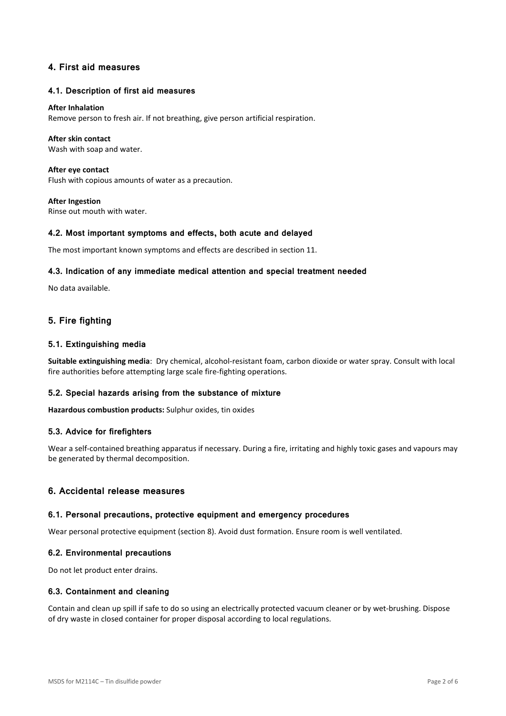# **4. First aid measures**

### **4.1. Description of first aid measures**

#### **After Inhalation**

Remove person to fresh air. If not breathing, give person artificial respiration.

#### **After skin contact**

Wash with soap and water.

**After eye contact**  Flush with copious amounts of water as a precaution.

**After Ingestion**  Rinse out mouth with water.

### **4.2. Most important symptoms and effects, both acute and delayed**

The most important known symptoms and effects are described in section 11.

### **4.3. Indication of any immediate medical attention and special treatment needed**

No data available.

# **5. Fire fighting**

### **5.1. Extinguishing media**

**Suitable extinguishing media**: Dry chemical, alcohol-resistant foam, carbon dioxide or water spray. Consult with local fire authorities before attempting large scale fire-fighting operations.

#### **5.2. Special hazards arising from the substance of mixture**

**Hazardous combustion products:** Sulphur oxides, tin oxides

#### **5.3. Advice for firefighters**

Wear a self-contained breathing apparatus if necessary. During a fire, irritating and highly toxic gases and vapours may be generated by thermal decomposition.

## **6. Accidental release measures**

#### **6.1. Personal precautions, protective equipment and emergency procedures**

Wear personal protective equipment (section 8). Avoid dust formation. Ensure room is well ventilated.

#### **6.2. Environmental precautions**

Do not let product enter drains.

#### **6.3. Containment and cleaning**

Contain and clean up spill if safe to do so using an electrically protected vacuum cleaner or by wet-brushing. Dispose of dry waste in closed container for proper disposal according to local regulations.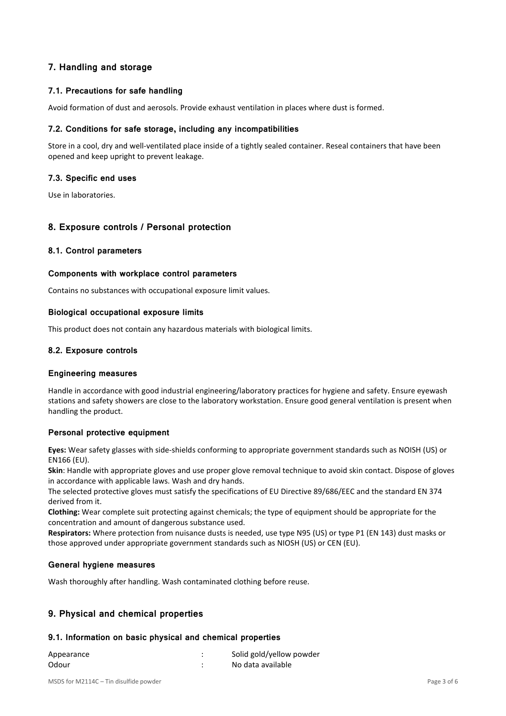# **7. Handling and storage**

# **7.1. Precautions for safe handling**

Avoid formation of dust and aerosols. Provide exhaust ventilation in places where dust is formed.

## **7.2. Conditions for safe storage, including any incompatibilities**

Store in a cool, dry and well-ventilated place inside of a tightly sealed container. Reseal containers that have been opened and keep upright to prevent leakage.

## **7.3. Specific end uses**

Use in laboratories.

# **8. Exposure controls / Personal protection**

## **8.1. Control parameters**

## **Components with workplace control parameters**

Contains no substances with occupational exposure limit values.

### **Biological occupational exposure limits**

This product does not contain any hazardous materials with biological limits.

## **8.2. Exposure controls**

#### **Engineering measures**

Handle in accordance with good industrial engineering/laboratory practices for hygiene and safety. Ensure eyewash stations and safety showers are close to the laboratory workstation. Ensure good general ventilation is present when handling the product.

## **Personal protective equipment**

**Eyes:** Wear safety glasses with side-shields conforming to appropriate government standards such as NOISH (US) or EN166 (EU).

**Skin**: Handle with appropriate gloves and use proper glove removal technique to avoid skin contact. Dispose of gloves in accordance with applicable laws. Wash and dry hands.

The selected protective gloves must satisfy the specifications of EU Directive 89/686/EEC and the standard EN 374 derived from it.

**Clothing:** Wear complete suit protecting against chemicals; the type of equipment should be appropriate for the concentration and amount of dangerous substance used.

**Respirators:** Where protection from nuisance dusts is needed, use type N95 (US) or type P1 (EN 143) dust masks or those approved under appropriate government standards such as NIOSH (US) or CEN (EU).

# **General hygiene measures**

Wash thoroughly after handling. Wash contaminated clothing before reuse.

# **9. Physical and chemical properties**

## **9.1. Information on basic physical and chemical properties**

| Appearance | Solid gold/yellow powder |
|------------|--------------------------|
| Odour      | No data available        |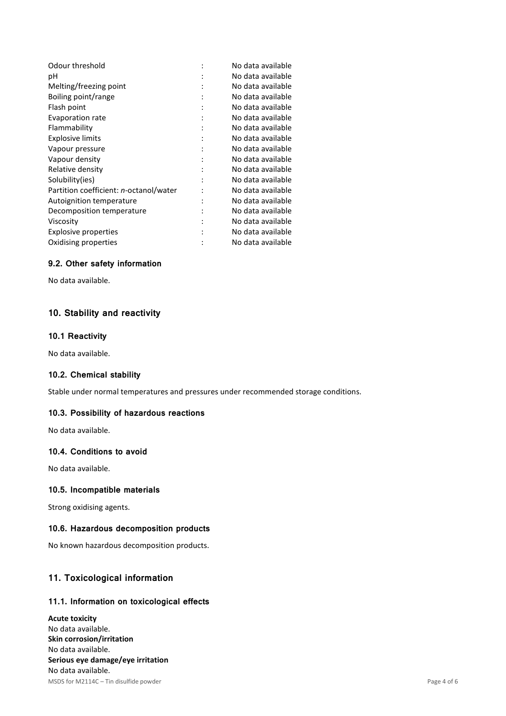| Odour threshold                        |   | No data available |
|----------------------------------------|---|-------------------|
| рH                                     |   | No data available |
| Melting/freezing point                 |   | No data available |
| Boiling point/range                    |   | No data available |
| Flash point                            |   | No data available |
| Evaporation rate                       |   | No data available |
| Flammability                           | ٠ | No data available |
| <b>Explosive limits</b>                |   | No data available |
| Vapour pressure                        |   | No data available |
| Vapour density                         |   | No data available |
| Relative density                       |   | No data available |
| Solubility(ies)                        |   | No data available |
| Partition coefficient: n-octanol/water |   | No data available |
| Autoignition temperature               |   | No data available |
| Decomposition temperature              |   | No data available |
| Viscosity                              |   | No data available |
| <b>Explosive properties</b>            |   | No data available |
| Oxidising properties                   |   | No data available |

# **9.2. Other safety information**

No data available.

# **10. Stability and reactivity**

## **10.1 Reactivity**

No data available.

## **10.2. Chemical stability**

Stable under normal temperatures and pressures under recommended storage conditions.

# **10.3. Possibility of hazardous reactions**

No data available.

## **10.4. Conditions to avoid**

No data available.

## **10.5. Incompatible materials**

Strong oxidising agents.

# **10.6. Hazardous decomposition products**

No known hazardous decomposition products.

# **11. Toxicological information**

# **11.1. Information on toxicological effects**

MSDS for M2114C – Tin disulfide powder Page 4 of 6 **Acute toxicity**  No data available. **Skin corrosion/irritation**  No data available. **Serious eye damage/eye irritation**  No data available.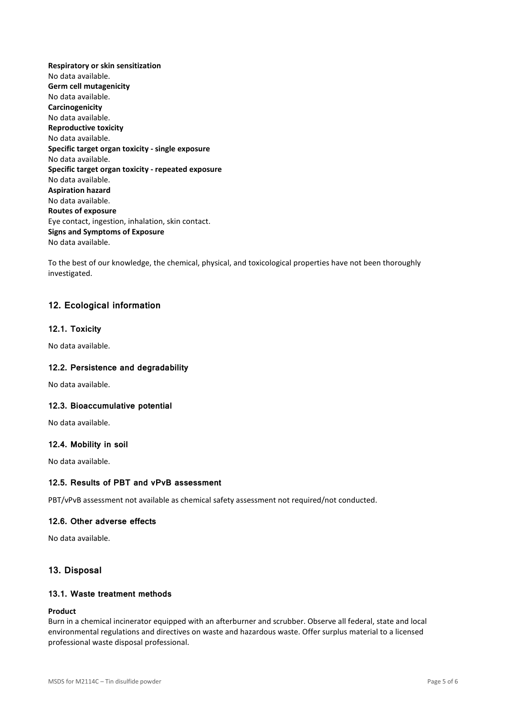**Respiratory or skin sensitization**  No data available. **Germ cell mutagenicity**  No data available. **Carcinogenicity**  No data available. **Reproductive toxicity**  No data available. **Specific target organ toxicity - single exposure**  No data available. **Specific target organ toxicity - repeated exposure**  No data available. **Aspiration hazard**  No data available. **Routes of exposure**  Eye contact, ingestion, inhalation, skin contact. **Signs and Symptoms of Exposure**  No data available.

To the best of our knowledge, the chemical, physical, and toxicological properties have not been thoroughly investigated.

# **12. Ecological information**

### **12.1. Toxicity**

No data available.

#### **12.2. Persistence and degradability**

No data available.

#### **12.3. Bioaccumulative potential**

No data available.

#### **12.4. Mobility in soil**

No data available.

## **12.5. Results of PBT and vPvB assessment**

PBT/vPvB assessment not available as chemical safety assessment not required/not conducted.

# **12.6. Other adverse effects**

No data available.

#### **13. Disposal**

## **13.1. Waste treatment methods**

### **Product**

Burn in a chemical incinerator equipped with an afterburner and scrubber. Observe all federal, state and local environmental regulations and directives on waste and hazardous waste. Offer surplus material to a licensed professional waste disposal professional.